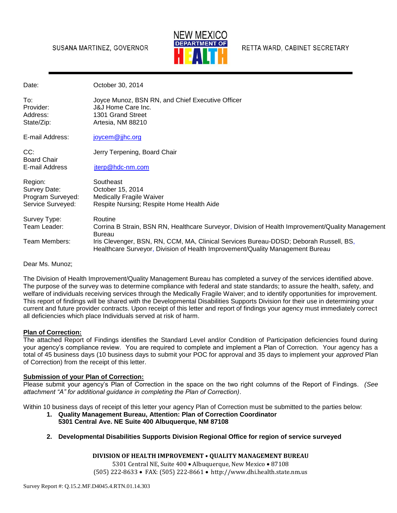### SUSANA MARTINEZ, GOVERNOR



RETTA WARD, CABINET SECRETARY

| Date:                                              | October 30, 2014                                                                                                                                                       |
|----------------------------------------------------|------------------------------------------------------------------------------------------------------------------------------------------------------------------------|
| To:<br>Provider:<br>Address:<br>State/Zip:         | Joyce Munoz, BSN RN, and Chief Executive Officer<br><b>J&amp;J Home Care Inc.</b><br>1301 Grand Street<br>Artesia, NM 88210                                            |
| E-mail Address:                                    | joycem@jjhc.org                                                                                                                                                        |
| CC:<br><b>Board Chair</b>                          | Jerry Terpening, Board Chair                                                                                                                                           |
| E-mail Address                                     | jterp@hdc-nm.com                                                                                                                                                       |
| Region:                                            | Southeast<br>October 15, 2014                                                                                                                                          |
| Survey Date:<br>Program Surveyed:                  | <b>Medically Fragile Waiver</b>                                                                                                                                        |
| Service Surveyed:                                  | Respite Nursing; Respite Home Health Aide                                                                                                                              |
| Survey Type:                                       | Routine                                                                                                                                                                |
| Team Leader:                                       | Corrina B Strain, BSN RN, Healthcare Surveyor, Division of Health Improvement/Quality Management<br><b>Bureau</b>                                                      |
| Team Members:                                      | Iris Clevenger, BSN, RN, CCM, MA, Clinical Services Bureau-DDSD; Deborah Russell, BS,<br>Healthcare Surveyor, Division of Health Improvement/Quality Management Bureau |
| $D_{\text{corr}}$ M <sub>n</sub> M <sub>unoz</sub> |                                                                                                                                                                        |

Dear Ms. Munoz;

The Division of Health Improvement/Quality Management Bureau has completed a survey of the services identified above. The purpose of the survey was to determine compliance with federal and state standards; to assure the health, safety, and welfare of individuals receiving services through the Medically Fragile Waiver; and to identify opportunities for improvement. This report of findings will be shared with the Developmental Disabilities Supports Division for their use in determining your current and future provider contracts. Upon receipt of this letter and report of findings your agency must immediately correct all deficiencies which place Individuals served at risk of harm.

#### **Plan of Correction:**

The attached Report of Findings identifies the Standard Level and/or Condition of Participation deficiencies found during your agency's compliance review. You are required to complete and implement a Plan of Correction. Your agency has a total of 45 business days (10 business days to submit your POC for approval and 35 days to implement your *approved* Plan of Correction) from the receipt of this letter.

#### **Submission of your Plan of Correction:**

Please submit your agency's Plan of Correction in the space on the two right columns of the Report of Findings. *(See attachment "A" for additional guidance in completing the Plan of Correction)*.

Within 10 business days of receipt of this letter your agency Plan of Correction must be submitted to the parties below:

- **1. Quality Management Bureau, Attention: Plan of Correction Coordinator 5301 Central Ave. NE Suite 400 Albuquerque, NM 87108**
- **2. Developmental Disabilities Supports Division Regional Office for region of service surveyed**

#### **DIVISION OF HEALTH IMPROVEMENT • QUALITY MANAGEMENT BUREAU**

5301 Central NE, Suite 400 · Albuquerque, New Mexico · 87108 (505) 222-8633 FAX: (505) 222-8661 http://www.dhi.health.state.nm.us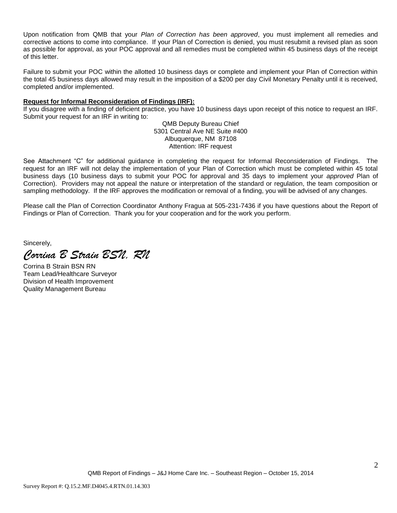Upon notification from QMB that your *Plan of Correction has been approved*, you must implement all remedies and corrective actions to come into compliance. If your Plan of Correction is denied, you must resubmit a revised plan as soon as possible for approval, as your POC approval and all remedies must be completed within 45 business days of the receipt of this letter.

Failure to submit your POC within the allotted 10 business days or complete and implement your Plan of Correction within the total 45 business days allowed may result in the imposition of a \$200 per day Civil Monetary Penalty until it is received, completed and/or implemented.

#### **Request for Informal Reconsideration of Findings (IRF):**

If you disagree with a finding of deficient practice, you have 10 business days upon receipt of this notice to request an IRF. Submit your request for an IRF in writing to:

> QMB Deputy Bureau Chief 5301 Central Ave NE Suite #400 Albuquerque, NM 87108 Attention: IRF request

See Attachment "C" for additional guidance in completing the request for Informal Reconsideration of Findings. The request for an IRF will not delay the implementation of your Plan of Correction which must be completed within 45 total business days (10 business days to submit your POC for approval and 35 days to implement your *approved* Plan of Correction). Providers may not appeal the nature or interpretation of the standard or regulation, the team composition or sampling methodology. If the IRF approves the modification or removal of a finding, you will be advised of any changes.

Please call the Plan of Correction Coordinator Anthony Fragua at 505-231-7436 if you have questions about the Report of Findings or Plan of Correction. Thank you for your cooperation and for the work you perform.

Sincerely,

*Corrina B Strain BSN, RN*

Corrina B Strain BSN RN Team Lead/Healthcare Surveyor Division of Health Improvement Quality Management Bureau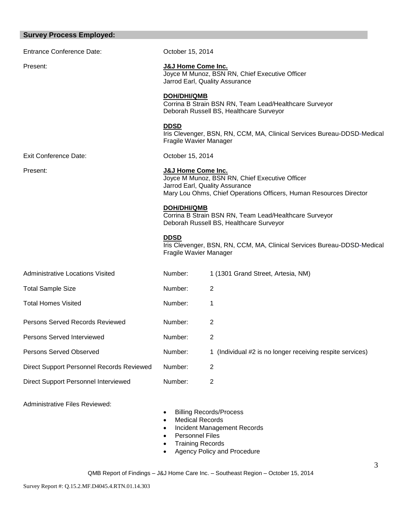# **Survey Process Employed:**

| <b>Entrance Conference Date:</b>          | October 15, 2014                      |                                                                                                                                                        |
|-------------------------------------------|---------------------------------------|--------------------------------------------------------------------------------------------------------------------------------------------------------|
| Present:                                  | J&J Home Come Inc.                    | Joyce M Munoz, BSN RN, Chief Executive Officer<br>Jarrod Earl, Quality Assurance                                                                       |
|                                           | <b>DOH/DHI/QMB</b>                    | Corrina B Strain BSN RN, Team Lead/Healthcare Surveyor<br>Deborah Russell BS, Healthcare Surveyor                                                      |
|                                           | <b>DDSD</b><br>Fragile Wavier Manager | Iris Clevenger, BSN, RN, CCM, MA, Clinical Services Bureau-DDSD-Medical                                                                                |
| <b>Exit Conference Date:</b>              | October 15, 2014                      |                                                                                                                                                        |
| Present:                                  | J&J Home Come Inc.                    | Joyce M Munoz, BSN RN, Chief Executive Officer<br>Jarrod Earl, Quality Assurance<br>Mary Lou Ohms, Chief Operations Officers, Human Resources Director |
|                                           | <b>DOH/DHI/QMB</b>                    | Corrina B Strain BSN RN, Team Lead/Healthcare Surveyor<br>Deborah Russell BS, Healthcare Surveyor                                                      |
|                                           | <b>DDSD</b><br>Fragile Wavier Manager | Iris Clevenger, BSN, RN, CCM, MA, Clinical Services Bureau-DDSD-Medical                                                                                |
| <b>Administrative Locations Visited</b>   | Number:                               | 1 (1301 Grand Street, Artesia, NM)                                                                                                                     |
| <b>Total Sample Size</b>                  | Number:                               | 2                                                                                                                                                      |
| <b>Total Homes Visited</b>                | Number:                               | 1                                                                                                                                                      |
| Persons Served Records Reviewed           | Number:                               | 2                                                                                                                                                      |
| Persons Served Interviewed                | Number:                               |                                                                                                                                                        |
| <b>Persons Served Observed</b>            | Number:                               | 1 (Individual #2 is no longer receiving respite services)                                                                                              |
| Direct Support Personnel Records Reviewed | Number:                               | $\overline{2}$                                                                                                                                         |
| Direct Support Personnel Interviewed      | Number:                               | $\overline{2}$                                                                                                                                         |

Administrative Files Reviewed:

- Billing Records/Process
- Medical Records
- Incident Management Records
- Personnel Files
- Training Records
- Agency Policy and Procedure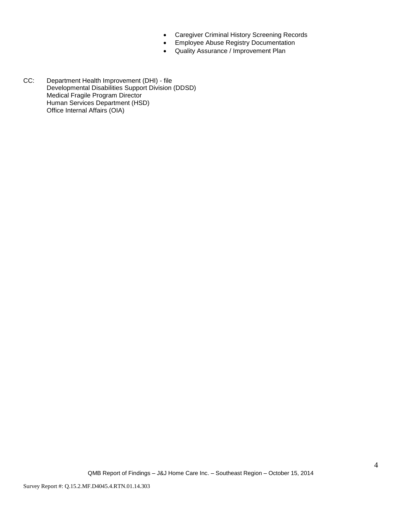- Caregiver Criminal History Screening Records
- **•** Employee Abuse Registry Documentation
- Quality Assurance / Improvement Plan
- CC: Department Health Improvement (DHI) file Developmental Disabilities Support Division (DDSD) Medical Fragile Program Director Human Services Department (HSD) Office Internal Affairs (OIA)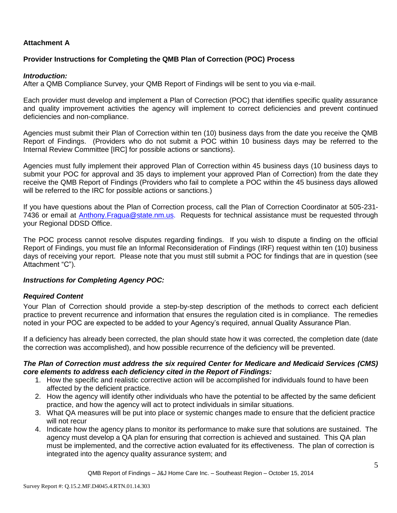# **Attachment A**

# **Provider Instructions for Completing the QMB Plan of Correction (POC) Process**

### *Introduction:*

After a QMB Compliance Survey, your QMB Report of Findings will be sent to you via e-mail.

Each provider must develop and implement a Plan of Correction (POC) that identifies specific quality assurance and quality improvement activities the agency will implement to correct deficiencies and prevent continued deficiencies and non-compliance.

Agencies must submit their Plan of Correction within ten (10) business days from the date you receive the QMB Report of Findings. (Providers who do not submit a POC within 10 business days may be referred to the Internal Review Committee [IRC] for possible actions or sanctions).

Agencies must fully implement their approved Plan of Correction within 45 business days (10 business days to submit your POC for approval and 35 days to implement your approved Plan of Correction) from the date they receive the QMB Report of Findings (Providers who fail to complete a POC within the 45 business days allowed will be referred to the IRC for possible actions or sanctions.)

If you have questions about the Plan of Correction process, call the Plan of Correction Coordinator at 505-231- 7436 or email at Anthony.Fragua@state.nm.us. Requests for technical assistance must be requested through your Regional DDSD Office.

The POC process cannot resolve disputes regarding findings. If you wish to dispute a finding on the official Report of Findings, you must file an Informal Reconsideration of Findings (IRF) request within ten (10) business days of receiving your report. Please note that you must still submit a POC for findings that are in question (see Attachment "C").

## *Instructions for Completing Agency POC:*

## *Required Content*

Your Plan of Correction should provide a step-by-step description of the methods to correct each deficient practice to prevent recurrence and information that ensures the regulation cited is in compliance. The remedies noted in your POC are expected to be added to your Agency's required, annual Quality Assurance Plan.

If a deficiency has already been corrected, the plan should state how it was corrected, the completion date (date the correction was accomplished), and how possible recurrence of the deficiency will be prevented.

### *The Plan of Correction must address the six required Center for Medicare and Medicaid Services (CMS) core elements to address each deficiency cited in the Report of Findings:*

- 1. How the specific and realistic corrective action will be accomplished for individuals found to have been affected by the deficient practice.
- 2. How the agency will identify other individuals who have the potential to be affected by the same deficient practice, and how the agency will act to protect individuals in similar situations.
- 3. What QA measures will be put into place or systemic changes made to ensure that the deficient practice will not recur
- 4. Indicate how the agency plans to monitor its performance to make sure that solutions are sustained. The agency must develop a QA plan for ensuring that correction is achieved and sustained. This QA plan must be implemented, and the corrective action evaluated for its effectiveness. The plan of correction is integrated into the agency quality assurance system; and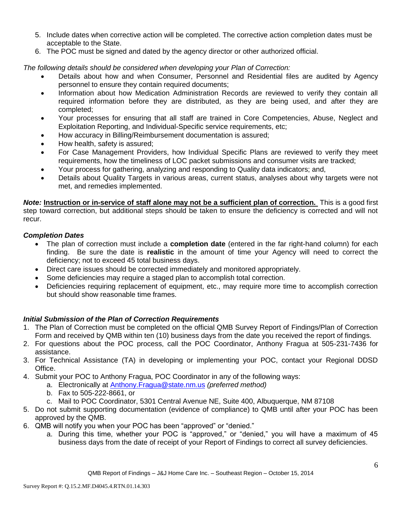- 5. Include dates when corrective action will be completed. The corrective action completion dates must be acceptable to the State.
- 6. The POC must be signed and dated by the agency director or other authorized official.

*The following details should be considered when developing your Plan of Correction:*

- Details about how and when Consumer, Personnel and Residential files are audited by Agency personnel to ensure they contain required documents;
- Information about how Medication Administration Records are reviewed to verify they contain all required information before they are distributed, as they are being used, and after they are completed;
- Your processes for ensuring that all staff are trained in Core Competencies, Abuse, Neglect and Exploitation Reporting, and Individual-Specific service requirements, etc;
- How accuracy in Billing/Reimbursement documentation is assured;
- How health, safety is assured;
- For Case Management Providers, how Individual Specific Plans are reviewed to verify they meet requirements, how the timeliness of LOC packet submissions and consumer visits are tracked;
- Your process for gathering, analyzing and responding to Quality data indicators; and,
- Details about Quality Targets in various areas, current status, analyses about why targets were not met, and remedies implemented.

*Note:* **Instruction or in-service of staff alone may not be a sufficient plan of correction.** This is a good first step toward correction, but additional steps should be taken to ensure the deficiency is corrected and will not recur.

# *Completion Dates*

- The plan of correction must include a **completion date** (entered in the far right-hand column) for each finding. Be sure the date is **realistic** in the amount of time your Agency will need to correct the deficiency; not to exceed 45 total business days.
- Direct care issues should be corrected immediately and monitored appropriately.
- Some deficiencies may require a staged plan to accomplish total correction.
- Deficiencies requiring replacement of equipment, etc., may require more time to accomplish correction but should show reasonable time frames.

# *Initial Submission of the Plan of Correction Requirements*

- 1. The Plan of Correction must be completed on the official QMB Survey Report of Findings/Plan of Correction Form and received by QMB within ten (10) business days from the date you received the report of findings.
- 2. For questions about the POC process, call the POC Coordinator, Anthony Fragua at 505-231-7436 for assistance.
- 3. For Technical Assistance (TA) in developing or implementing your POC, contact your Regional DDSD Office.
- 4. Submit your POC to Anthony Fragua, POC Coordinator in any of the following ways:
	- a. Electronically at Anthony.Fragua@state.nm.us *(preferred method)*
	- b. Fax to 505-222-8661, or
	- c. Mail to POC Coordinator, 5301 Central Avenue NE, Suite 400, Albuquerque, NM 87108
- 5. Do not submit supporting documentation (evidence of compliance) to QMB until after your POC has been approved by the QMB.
- 6. QMB will notify you when your POC has been "approved" or "denied."
	- a. During this time, whether your POC is "approved," or "denied," you will have a maximum of 45 business days from the date of receipt of your Report of Findings to correct all survey deficiencies.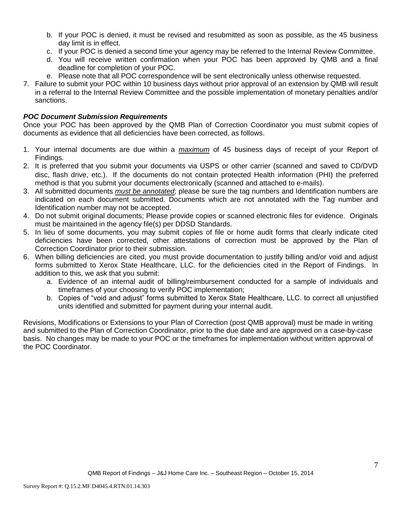- b. If your POC is denied, it must be revised and resubmitted as soon as possible, as the 45 business day limit is in effect.
- c. If your POC is denied a second time your agency may be referred to the Internal Review Committee.
- d. You will receive written confirmation when your POC has been approved by QMB and a final deadline for completion of your POC.
- e. Please note that all POC correspondence will be sent electronically unless otherwise requested.
- 7. Failure to submit your POC within 10 business days without prior approval of an extension by QMB will result in a referral to the Internal Review Committee and the possible implementation of monetary penalties and/or sanctions.

## *POC Document Submission Requirements*

Once your POC has been approved by the QMB Plan of Correction Coordinator you must submit copies of documents as evidence that all deficiencies have been corrected, as follows.

- 1. Your internal documents are due within a *maximum* of 45 business days of receipt of your Report of Findings.
- 2. It is preferred that you submit your documents via USPS or other carrier (scanned and saved to CD/DVD disc, flash drive, etc.). If the documents do not contain protected Health information (PHI) the preferred method is that you submit your documents electronically (scanned and attached to e-mails).
- 3. All submitted documents *must be annotated*; please be sure the tag numbers and Identification numbers are indicated on each document submitted. Documents which are not annotated with the Tag number and Identification number may not be accepted.
- 4. Do not submit original documents; Please provide copies or scanned electronic files for evidence. Originals must be maintained in the agency file(s) per DDSD Standards.
- 5. In lieu of some documents, you may submit copies of file or home audit forms that clearly indicate cited deficiencies have been corrected, other attestations of correction must be approved by the Plan of Correction Coordinator prior to their submission.
- 6. When billing deficiencies are cited, you must provide documentation to justify billing and/or void and adjust forms submitted to Xerox State Healthcare, LLC. for the deficiencies cited in the Report of Findings. In addition to this, we ask that you submit:
	- a. Evidence of an internal audit of billing/reimbursement conducted for a sample of individuals and timeframes of your choosing to verify POC implementation;
	- b. Copies of "void and adjust" forms submitted to Xerox State Healthcare, LLC. to correct all unjustified units identified and submitted for payment during your internal audit.

Revisions, Modifications or Extensions to your Plan of Correction (post QMB approval) must be made in writing and submitted to the Plan of Correction Coordinator, prior to the due date and are approved on a case-by-case basis. No changes may be made to your POC or the timeframes for implementation without written approval of the POC Coordinator.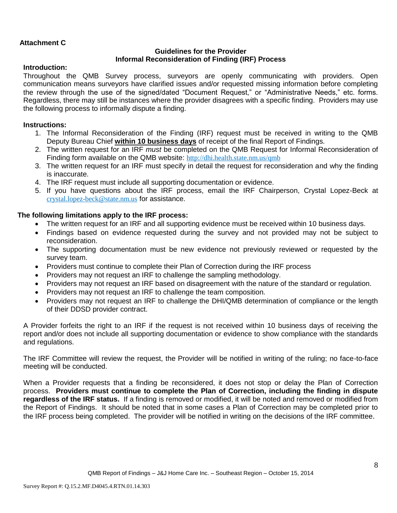# **Attachment C**

### **Guidelines for the Provider Informal Reconsideration of Finding (IRF) Process**

## **Introduction:**

Throughout the QMB Survey process, surveyors are openly communicating with providers. Open communication means surveyors have clarified issues and/or requested missing information before completing the review through the use of the signed/dated "Document Request," or "Administrative Needs," etc. forms. Regardless, there may still be instances where the provider disagrees with a specific finding. Providers may use the following process to informally dispute a finding.

## **Instructions:**

- 1. The Informal Reconsideration of the Finding (IRF) request must be received in writing to the QMB Deputy Bureau Chief **within 10 business days** of receipt of the final Report of Findings.
- 2. The written request for an IRF *must* be completed on the QMB Request for Informal Reconsideration of Finding form available on the QMB website: <http://dhi.health.state.nm.us/qmb>
- 3. The written request for an IRF must specify in detail the request for reconsideration and why the finding is inaccurate.
- 4. The IRF request must include all supporting documentation or evidence.
- 5. If you have questions about the IRF process, email the IRF Chairperson, Crystal Lopez-Beck at [crystal.lopez-beck@state.nm.us](mailto:crystal.lopez-beck@state.nm.us) for assistance.

## **The following limitations apply to the IRF process:**

- The written request for an IRF and all supporting evidence must be received within 10 business days.
- Findings based on evidence requested during the survey and not provided may not be subject to reconsideration.
- The supporting documentation must be new evidence not previously reviewed or requested by the survey team.
- Providers must continue to complete their Plan of Correction during the IRF process
- Providers may not request an IRF to challenge the sampling methodology.
- Providers may not request an IRF based on disagreement with the nature of the standard or regulation.
- Providers may not request an IRF to challenge the team composition.
- Providers may not request an IRF to challenge the DHI/QMB determination of compliance or the length of their DDSD provider contract.

A Provider forfeits the right to an IRF if the request is not received within 10 business days of receiving the report and/or does not include all supporting documentation or evidence to show compliance with the standards and regulations.

The IRF Committee will review the request, the Provider will be notified in writing of the ruling; no face-to-face meeting will be conducted.

When a Provider requests that a finding be reconsidered, it does not stop or delay the Plan of Correction process. **Providers must continue to complete the Plan of Correction, including the finding in dispute regardless of the IRF status.** If a finding is removed or modified, it will be noted and removed or modified from the Report of Findings. It should be noted that in some cases a Plan of Correction may be completed prior to the IRF process being completed. The provider will be notified in writing on the decisions of the IRF committee.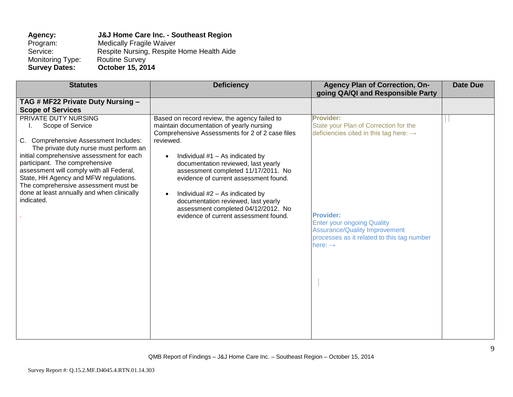# **Agency: J&J Home Care Inc. - Southeast Region** Program: Medically Fragile Waiver<br>Service: Respite Nursing, Respite Respite Nursing, Respite Home Health Aide<br>Routine Survey Monitoring Type:<br>Survey Dates: **Survey Dates: October 15, 2014**

| <b>Deficiency</b>                                                                                                                                                                                                                                                                                                                                                                                                                                                                                        | <b>Agency Plan of Correction, On-</b>                                                                                                                                                                                                                                                 | <b>Date Due</b>                   |
|----------------------------------------------------------------------------------------------------------------------------------------------------------------------------------------------------------------------------------------------------------------------------------------------------------------------------------------------------------------------------------------------------------------------------------------------------------------------------------------------------------|---------------------------------------------------------------------------------------------------------------------------------------------------------------------------------------------------------------------------------------------------------------------------------------|-----------------------------------|
|                                                                                                                                                                                                                                                                                                                                                                                                                                                                                                          |                                                                                                                                                                                                                                                                                       |                                   |
|                                                                                                                                                                                                                                                                                                                                                                                                                                                                                                          |                                                                                                                                                                                                                                                                                       |                                   |
| Based on record review, the agency failed to<br>maintain documentation of yearly nursing<br>Comprehensive Assessments for 2 of 2 case files<br>reviewed.<br>Individual $#1 - As$ indicated by<br>$\bullet$<br>documentation reviewed, last yearly<br>assessment completed 11/17/2011. No<br>evidence of current assessment found.<br>Individual #2 - As indicated by<br>$\bullet$<br>documentation reviewed, last yearly<br>assessment completed 04/12/2012. No<br>evidence of current assessment found. | <b>Provider:</b><br>State your Plan of Correction for the<br>deficiencies cited in this tag here: $\rightarrow$<br><b>Provider:</b><br><b>Enter your ongoing Quality</b><br><b>Assurance/Quality Improvement</b><br>processes as it related to this tag number<br>here: $\rightarrow$ |                                   |
|                                                                                                                                                                                                                                                                                                                                                                                                                                                                                                          |                                                                                                                                                                                                                                                                                       | going QA/QI and Responsible Party |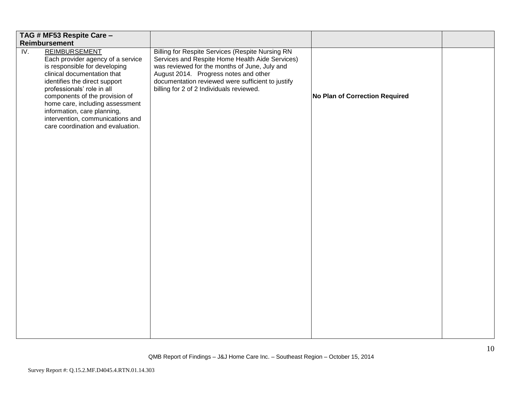| TAG # MF53 Respite Care -                                                                                                                                                                                                                                                                                                                                                                  |                                                                                                                                                                                                                                                                                                       |                                |  |
|--------------------------------------------------------------------------------------------------------------------------------------------------------------------------------------------------------------------------------------------------------------------------------------------------------------------------------------------------------------------------------------------|-------------------------------------------------------------------------------------------------------------------------------------------------------------------------------------------------------------------------------------------------------------------------------------------------------|--------------------------------|--|
| <b>Reimbursement</b>                                                                                                                                                                                                                                                                                                                                                                       |                                                                                                                                                                                                                                                                                                       |                                |  |
| <b>REIMBURSEMENT</b><br>$\overline{IV}$ .<br>Each provider agency of a service<br>is responsible for developing<br>clinical documentation that<br>identifies the direct support<br>professionals' role in all<br>components of the provision of<br>home care, including assessment<br>information, care planning,<br>intervention, communications and<br>care coordination and evaluation. | <b>Billing for Respite Services (Respite Nursing RN</b><br>Services and Respite Home Health Aide Services)<br>was reviewed for the months of June, July and<br>August 2014. Progress notes and other<br>documentation reviewed were sufficient to justify<br>billing for 2 of 2 Individuals reviewed. | No Plan of Correction Required |  |
|                                                                                                                                                                                                                                                                                                                                                                                            |                                                                                                                                                                                                                                                                                                       |                                |  |
|                                                                                                                                                                                                                                                                                                                                                                                            |                                                                                                                                                                                                                                                                                                       |                                |  |
|                                                                                                                                                                                                                                                                                                                                                                                            |                                                                                                                                                                                                                                                                                                       |                                |  |
|                                                                                                                                                                                                                                                                                                                                                                                            |                                                                                                                                                                                                                                                                                                       |                                |  |
|                                                                                                                                                                                                                                                                                                                                                                                            |                                                                                                                                                                                                                                                                                                       |                                |  |
|                                                                                                                                                                                                                                                                                                                                                                                            |                                                                                                                                                                                                                                                                                                       |                                |  |
|                                                                                                                                                                                                                                                                                                                                                                                            |                                                                                                                                                                                                                                                                                                       |                                |  |
|                                                                                                                                                                                                                                                                                                                                                                                            |                                                                                                                                                                                                                                                                                                       |                                |  |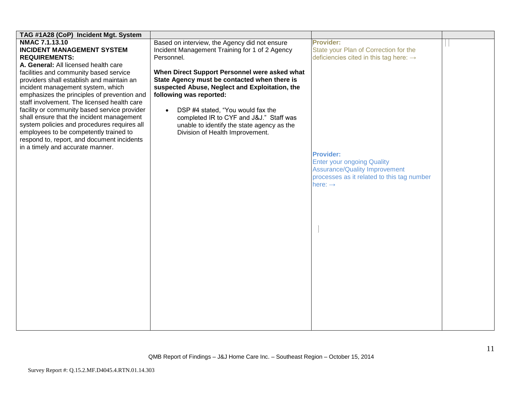| TAG #1A28 (CoP) Incident Mgt. System         |                                                |                                                    |  |
|----------------------------------------------|------------------------------------------------|----------------------------------------------------|--|
| NMAC 7.1.13.10                               | Based on interview, the Agency did not ensure  | <b>Provider:</b>                                   |  |
| <b>INCIDENT MANAGEMENT SYSTEM</b>            | Incident Management Training for 1 of 2 Agency | State your Plan of Correction for the              |  |
| <b>REQUIREMENTS:</b>                         | Personnel.                                     | deficiencies cited in this tag here: $\rightarrow$ |  |
| A. General: All licensed health care         |                                                |                                                    |  |
| facilities and community based service       | When Direct Support Personnel were asked what  |                                                    |  |
| providers shall establish and maintain an    | State Agency must be contacted when there is   |                                                    |  |
| incident management system, which            | suspected Abuse, Neglect and Exploitation, the |                                                    |  |
| emphasizes the principles of prevention and  | following was reported:                        |                                                    |  |
| staff involvement. The licensed health care  |                                                |                                                    |  |
| facility or community based service provider | DSP #4 stated, "You would fax the<br>$\bullet$ |                                                    |  |
| shall ensure that the incident management    | completed IR to CYF and J&J." Staff was        |                                                    |  |
| system policies and procedures requires all  | unable to identify the state agency as the     |                                                    |  |
| employees to be competently trained to       | Division of Health Improvement.                |                                                    |  |
| respond to, report, and document incidents   |                                                |                                                    |  |
| in a timely and accurate manner.             |                                                |                                                    |  |
|                                              |                                                | <b>Provider:</b>                                   |  |
|                                              |                                                | <b>Enter your ongoing Quality</b>                  |  |
|                                              |                                                | <b>Assurance/Quality Improvement</b>               |  |
|                                              |                                                | processes as it related to this tag number         |  |
|                                              |                                                | here: $\rightarrow$                                |  |
|                                              |                                                |                                                    |  |
|                                              |                                                |                                                    |  |
|                                              |                                                |                                                    |  |
|                                              |                                                |                                                    |  |
|                                              |                                                |                                                    |  |
|                                              |                                                |                                                    |  |
|                                              |                                                |                                                    |  |
|                                              |                                                |                                                    |  |
|                                              |                                                |                                                    |  |
|                                              |                                                |                                                    |  |
|                                              |                                                |                                                    |  |
|                                              |                                                |                                                    |  |
|                                              |                                                |                                                    |  |
|                                              |                                                |                                                    |  |
|                                              |                                                |                                                    |  |
|                                              |                                                |                                                    |  |
|                                              |                                                |                                                    |  |
|                                              |                                                |                                                    |  |
|                                              |                                                |                                                    |  |
|                                              |                                                |                                                    |  |